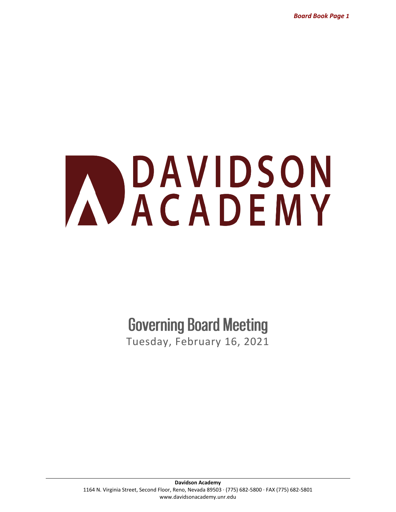*Board Book Page 1*

# AVACADEMY

**Governing Board Meeting** 

Tuesday, February 16, 2021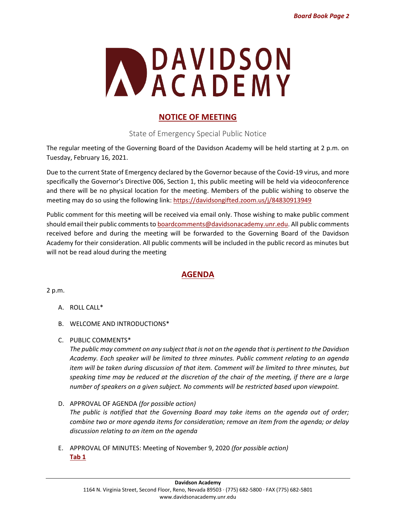

# **NOTICE OF MEETING**

State of Emergency Special Public Notice

The regular meeting of the Governing Board of the Davidson Academy will be held starting at 2 p.m. on Tuesday, February 16, 2021.

Due to the current State of Emergency declared by the Governor because of the Covid-19 virus, and more specifically the Governor's Directive 006, Section 1, this public meeting will be held via videoconference and there will be no physical location for the meeting. Members of the public wishing to observe the meeting may do so using the following link:<https://davidsongifted.zoom.us/j/84830913949>

Public comment for this meeting will be received via email only. Those wishing to make public comment should email their public comments to boardcomments@davidsonacademy.unr.edu. All public comments received before and during the meeting will be forwarded to the Governing Board of the Davidson Academy for their consideration. All public comments will be included in the public record as minutes but will not be read aloud during the meeting

# **AGENDA**

2 p.m.

- A. ROLL CALL\*
- B. WELCOME AND INTRODUCTIONS\*
- C. PUBLIC COMMENTS\*

*The public may comment on any subject that is not on the agenda that is pertinent to the Davidson Academy. Each speaker will be limited to three minutes. Public comment relating to an agenda item will be taken during discussion of that item. Comment will be limited to three minutes, but speaking time may be reduced at the discretion of the chair of the meeting, if there are a large number of speakers on a given subject. No comments will be restricted based upon viewpoint.*

- D. APPROVAL OF AGENDA *(for possible action) The public is notified that the Governing Board may take items on the agenda out of order; combine two or more agenda items for consideration; remove an item from the agenda; or delay discussion relating to an item on the agenda*
- E. APPROVAL OF MINUTES: Meeting of November 9, 2020 *(for possible action)* **[Tab 1](#page-5-0)**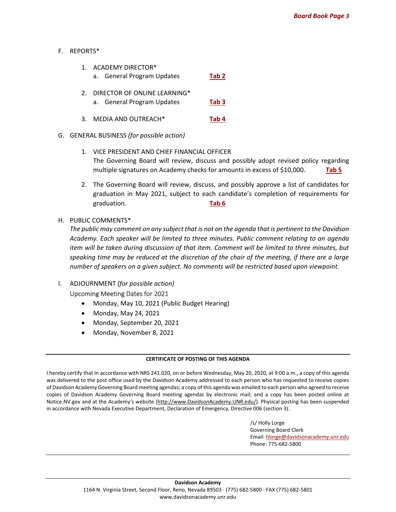#### F. REPORTS\*

| $\mathbf{1}$ . | <b>ACADEMY DIRECTOR*</b><br>a. General Program Updates     | Tab 2 |
|----------------|------------------------------------------------------------|-------|
| 2.             | DIRECTOR OF ONLINE LEARNING*<br>a. General Program Updates | Tab 3 |

3. MEDIA AND OUTREACH\* **[Tab 4](#page-20-0)**

#### G. GENERAL BUSINESS *(for possible action)*

- 1. VICE PRESIDENT AND CHIEF FINANCIAL OFFICER The Governing Board will review, discuss and possibly adopt revised policy regarding multiple signatures on Academy checks for amounts in excess of \$10,000. **[Tab 5](#page-23-0)**
- 2. The Governing Board will review, discuss, and possibly approve a list of candidates for graduation in May 2021, subject to each candidate's completion of requirements for graduation. **[Tab 6](#page-24-0)**
- H. PUBLIC COMMENTS\*

*The public may comment on any subject that is not on the agenda that is pertinent to the Davidson Academy. Each speaker will be limited to three minutes. Public comment relating to an agenda item will be taken during discussion of that item. Comment will be limited to three minutes, but speaking time may be reduced at the discretion of the chair of the meeting, if there are a large number of speakers on a given subject. No comments will be restricted based upon viewpoint.*

- I. ADJOURNMENT *(for possible action)* Upcoming Meeting Dates for 2021
	- Monday, May 10, 2021 (Public Budget Hearing)
	- Monday, May 24, 2021
	- Monday, September 20, 2021
	- Monday, November 8, 2021

#### **CERTIFICATE OF POSTING OF THIS AGENDA**

I hereby certify that In accordance with NRS 241.020, on or before Wednesday, May 20, 2020, at 9:00 a.m., a copy of this agenda was delivered to the post office used by the Davidson Academy addressed to each person who has requested to receive copies of Davidson Academy Governing Board meeting agendas; a copy of this agenda was emailed to each person who agreed to receive copies of Davidson Academy Governing Board meeting agendas by electronic mail; and a copy has been posted online at Notice.NV.gov and at the Academy's website [\(http://www.DavidsonAcademy.UNR.edu/\)](http://www.davidsonacademy.unr.edu/). Physical posting has been suspended in accordance with Nevada Executive Department, Declaration of Emergency, Directive 006 (section 3).

> /s/ Holly Lorge Governing Board Clerk Email: [hlorge@davidsonacademy.unr.edu](mailto:hlorge@davidsonacademy.unr.edu) Phone: 775-682-5800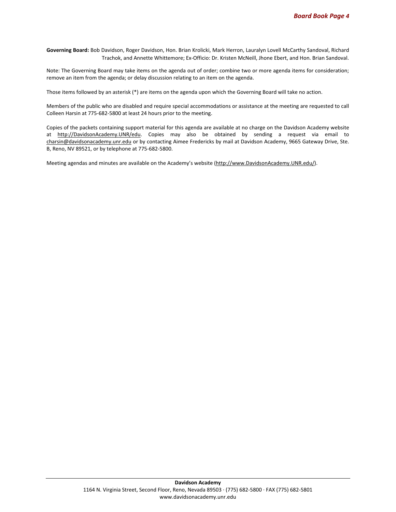**Governing Board:** Bob Davidson, Roger Davidson, Hon. Brian Krolicki, Mark Herron, Lauralyn Lovell McCarthy Sandoval, Richard Trachok, and Annette Whittemore; Ex-Officio: Dr. Kristen McNeill, Jhone Ebert, and Hon. Brian Sandoval.

Note: The Governing Board may take items on the agenda out of order; combine two or more agenda items for consideration; remove an item from the agenda; or delay discussion relating to an item on the agenda.

Those items followed by an asterisk (\*) are items on the agenda upon which the Governing Board will take no action.

Members of the public who are disabled and require special accommodations or assistance at the meeting are requested to call Colleen Harsin at 775-682-5800 at least 24 hours prior to the meeting.

Copies of the packets containing support material for this agenda are available at no charge on the Davidson Academy website at [http://DavidsonAcademy.UNR/edu.](http://davidsonacademy.unr/edu) Copies may also be obtained by sending a request via email to [charsin@davidsonacademy.unr.edu](https://davidsononline-my.sharepoint.com/personal/kpascual_davidsonacademy_unr_edu/Documents/Misc/charsin@davidsonacademy.unr.edu) or by contacting Aimee Fredericks by mail at Davidson Academy, 9665 Gateway Drive, Ste. B, Reno, NV 89521, or by telephone at 775-682-5800.

Meeting agendas and minutes are available on the Academy's website ([http://www.DavidsonAcademy.UNR.edu/\)](http://www.davidsonacademy.unr.edu/).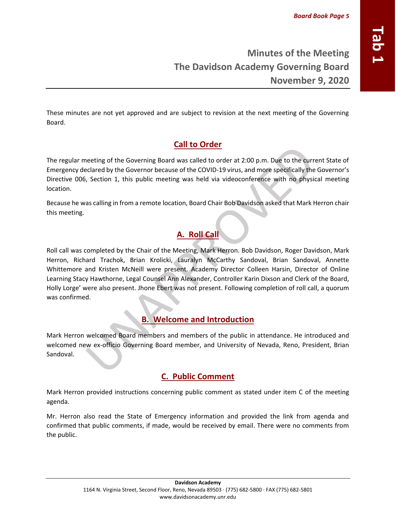# **Minutes of the Meeting The Davidson Academy Governing Board November 9, 2020**

These minutes are not yet approved and are subject to revision at the next meeting of the Governing Board.

# **Call to Order**

The regular meeting of the Governing Board was called to order at 2:00 p.m. Due to the current State of Emergency declared by the Governor because of the COVID-19 virus, and more specifically the Governor's Directive 006, Section 1, this public meeting was held via videoconference with no physical meeting location.

Because he was calling in from a remote location, Board Chair Bob Davidson asked that Mark Herron chair this meeting.

# **A. Roll Call**

Roll call was completed by the Chair of the Meeting, Mark Herron. Bob Davidson, Roger Davidson, Mark Herron, Richard Trachok, Brian Krolicki, Lauralyn McCarthy Sandoval, Brian Sandoval, Annette Whittemore and Kristen McNeill were present. Academy Director Colleen Harsin, Director of Online Learning Stacy Hawthorne, Legal Counsel Ann Alexander, Controller Karin Dixson and Clerk of the Board, Holly Lorge' were also present. Jhone Ebert was not present. Following completion of roll call, a quorum was confirmed.

# **B. Welcome and Introduction**

Mark Herron welcomed Board members and members of the public in attendance. He introduced and welcomed new ex-officio Governing Board member, and University of Nevada, Reno, President, Brian Sandoval.

# **C. Public Comment**

Mark Herron provided instructions concerning public comment as stated under item C of the meeting agenda.

Mr. Herron also read the State of Emergency information and provided the link from agenda and confirmed that public comments, if made, would be received by email. There were no comments from the public.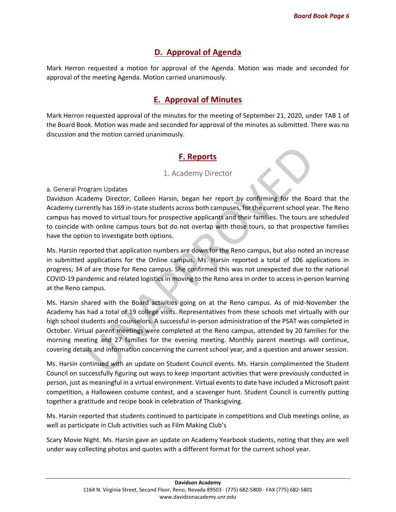# **D. Approval of Agenda**

<span id="page-5-0"></span>Mark Herron requested a motion for approval of the Agenda. Motion was made and seconded for approval of the meeting Agenda. Motion carried unanimously.

## **E. Approval of Minutes**

Mark Herron requested approval of the minutes for the meeting of September 21, 2020, under TAB 1 of the Board Book. Motion was made and seconded for approval of the minutes as submitted. There was no discussion and the motion carried unanimously.

# **F. Reports**

#### 1. Academy Director

a. General Program Updates

Davidson Academy Director, Colleen Harsin, began her report by confirming for the Board that the Academy currently has 169 in-state students across both campuses, for the current school year. The Reno campus has moved to virtual tours for prospective applicants and their families. The tours are scheduled to coincide with online campus tours but do not overlap with those tours, so that prospective families have the option to investigate both options.

Ms. Harsin reported that application numbers are down for the Reno campus, but also noted an increase in submitted applications for the Online campus. Ms. Harsin reported a total of 106 applications in progress; 34 of are those for Reno campus. She confirmed this was not unexpected due to the national COVID-19 pandemic and related logistics in moving to the Reno area in order to access in-person learning at the Reno campus.

Ms. Harsin shared with the Board activities going on at the Reno campus. As of mid-November the Academy has had a total of 19 college visits. Representatives from these schools met virtually with our high school students and counselors. A successful in-person administration of the PSAT was completed in October. Virtual parent meetings were completed at the Reno campus, attended by 20 families for the morning meeting and 27 families for the evening meeting. Monthly parent meetings will continue, covering details and information concerning the current school year, and a question and answer session.

Ms. Harsin continued with an update on Student Council events. Ms. Harsin complimented the Student Council on successfully figuring out ways to keep important activities that were previously conducted in person, just as meaningful in a virtual environment. Virtual events to date have included a Microsoft paint competition, a Halloween costume contest, and a scavenger hunt. Student Council is currently putting together a gratitude and recipe book in celebration of Thanksgiving.

Ms. Harsin reported that students continued to participate in competitions and Club meetings online, as well as participate in Club activities such as Film Making Club's

Scary Movie Night. Ms. Harsin gave an update on Academy Yearbook students, noting that they are well under way collecting photos and quotes with a different format for the current school year.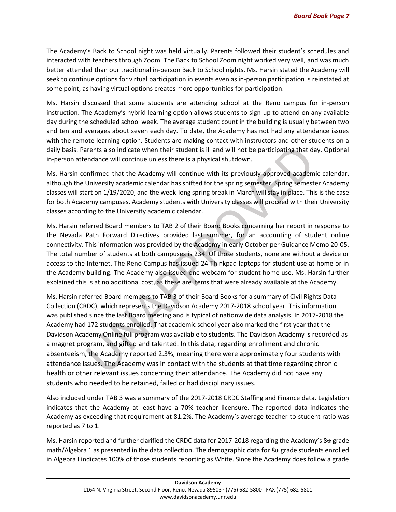The Academy's Back to School night was held virtually. Parents followed their student's schedules and interacted with teachers through Zoom. The Back to School Zoom night worked very well, and was much better attended than our traditional in-person Back to School nights. Ms. Harsin stated the Academy will seek to continue options for virtual participation in events even as in-person participation is reinstated at some point, as having virtual options creates more opportunities for participation.

Ms. Harsin discussed that some students are attending school at the Reno campus for in-person instruction. The Academy's hybrid learning option allows students to sign-up to attend on any available day during the scheduled school week. The average student count in the building is usually between two and ten and averages about seven each day. To date, the Academy has not had any attendance issues with the remote learning option. Students are making contact with instructors and other students on a daily basis. Parents also indicate when their student is ill and will not be participating that day. Optional in-person attendance will continue unless there is a physical shutdown.

Ms. Harsin confirmed that the Academy will continue with its previously approved academic calendar, although the University academic calendar has shifted for the spring semester. Spring semester Academy classes will start on 1/19/2020, and the week-long spring break in March will stay in place. This is the case for both Academy campuses. Academy students with University classes will proceed with their University classes according to the University academic calendar.

Ms. Harsin referred Board members to TAB 2 of their Board Books concerning her report in response to the Nevada Path Forward Directives provided last summer, for an accounting of student online connectivity. This information was provided by the Academy in early October per Guidance Memo 20-05. The total number of students at both campuses is 234. Of those students, none are without a device or access to the Internet. The Reno Campus has issued 24 Thinkpad laptops for student use at home or in the Academy building. The Academy also issued one webcam for student home use. Ms. Harsin further explained this is at no additional cost, as these are items that were already available at the Academy.

Ms. Harsin referred Board members to TAB 3 of their Board Books for a summary of Civil Rights Data Collection (CRDC), which represents the Davidson Academy 2017-2018 school year. This information was published since the last Board meeting and is typical of nationwide data analysis. In 2017-2018 the Academy had 172 students enrolled. That academic school year also marked the first year that the Davidson Academy Online full program was available to students. The Davidson Academy is recorded as a magnet program, and gifted and talented. In this data, regarding enrollment and chronic absenteeism, the Academy reported 2.3%, meaning there were approximately four students with attendance issues. The Academy was in contact with the students at that time regarding chronic health or other relevant issues concerning their attendance. The Academy did not have any students who needed to be retained, failed or had disciplinary issues.

Also included under TAB 3 was a summary of the 2017-2018 CRDC Staffing and Finance data. Legislation indicates that the Academy at least have a 70% teacher licensure. The reported data indicates the Academy as exceeding that requirement at 81.2%. The Academy's average teacher-to-student ratio was reported as 7 to 1.

Ms. Harsin reported and further clarified the CRDC data for 2017-2018 regarding the Academy's 8th grade math/Algebra 1 as presented in the data collection. The demographic data for 8th grade students enrolled in Algebra I indicates 100% of those students reporting as White. Since the Academy does follow a grade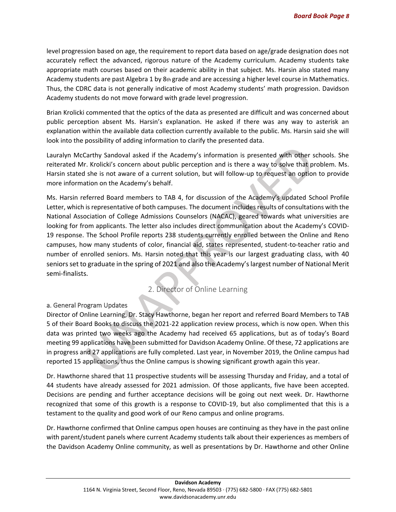level progression based on age, the requirement to report data based on age/grade designation does not accurately reflect the advanced, rigorous nature of the Academy curriculum. Academy students take appropriate math courses based on their academic ability in that subject. Ms. Harsin also stated many Academy students are past Algebra 1 by 8th grade and are accessing a higher level course in Mathematics. Thus, the CDRC data is not generally indicative of most Academy students' math progression. Davidson Academy students do not move forward with grade level progression.

Brian Krolicki commented that the optics of the data as presented are difficult and was concerned about public perception absent Ms. Harsin's explanation. He asked if there was any way to asterisk an explanation within the available data collection currently available to the public. Ms. Harsin said she will look into the possibility of adding information to clarify the presented data.

Lauralyn McCarthy Sandoval asked if the Academy's information is presented with other schools. She reiterated Mr. Krolicki's concern about public perception and is there a way to solve that problem. Ms. Harsin stated she is not aware of a current solution, but will follow-up to request an option to provide more information on the Academy's behalf.

Ms. Harsin referred Board members to TAB 4, for discussion of the Academy's updated School Profile Letter, which is representative of both campuses. The document includes results of consultations with the National Association of College Admissions Counselors (NACAC), geared towards what universities are looking for from applicants. The letter also includes direct communication about the Academy's COVID-19 response. The School Profile reports 238 students currently enrolled between the Online and Reno campuses, how many students of color, financial aid, states represented, student-to-teacher ratio and number of enrolled seniors. Ms. Harsin noted that this year is our largest graduating class, with 40 seniors set to graduate in the spring of 2021 and also the Academy's largest number of National Merit semi-finalists.

## 2. Director of Online Learning

#### a. General Program Updates

Director of Online Learning, Dr. Stacy Hawthorne, began her report and referred Board Members to TAB 5 of their Board Books to discuss the 2021-22 application review process, which is now open. When this data was printed two weeks ago the Academy had received 65 applications, but as of today's Board meeting 99 applications have been submitted for Davidson Academy Online. Of these, 72 applications are in progress and 27 applications are fully completed. Last year, in November 2019, the Online campus had reported 15 applications, thus the Online campus is showing significant growth again this year.

Dr. Hawthorne shared that 11 prospective students will be assessing Thursday and Friday, and a total of 44 students have already assessed for 2021 admission. Of those applicants, five have been accepted. Decisions are pending and further acceptance decisions will be going out next week. Dr. Hawthorne recognized that some of this growth is a response to COVID-19, but also complimented that this is a testament to the quality and good work of our Reno campus and online programs.

Dr. Hawthorne confirmed that Online campus open houses are continuing as they have in the past online with parent/student panels where current Academy students talk about their experiences as members of the Davidson Academy Online community, as well as presentations by Dr. Hawthorne and other Online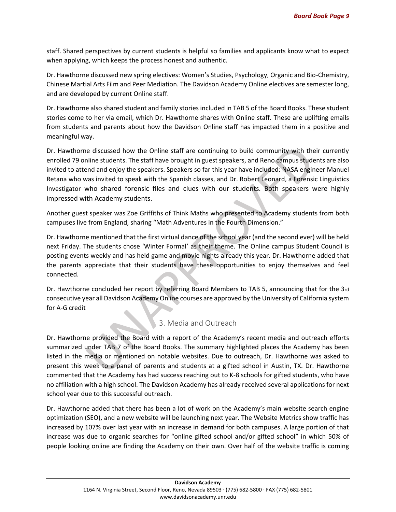staff. Shared perspectives by current students is helpful so families and applicants know what to expect when applying, which keeps the process honest and authentic.

Dr. Hawthorne discussed new spring electives: Women's Studies, Psychology, Organic and Bio-Chemistry, Chinese Martial Arts Film and Peer Mediation. The Davidson Academy Online electives are semester long, and are developed by current Online staff.

Dr. Hawthorne also shared student and family stories included in TAB 5 of the Board Books. These student stories come to her via email, which Dr. Hawthorne shares with Online staff. These are uplifting emails from students and parents about how the Davidson Online staff has impacted them in a positive and meaningful way.

Dr. Hawthorne discussed how the Online staff are continuing to build community with their currently enrolled 79 online students. The staff have brought in guest speakers, and Reno campus students are also invited to attend and enjoy the speakers. Speakers so far this year have included: NASA engineer Manuel Retana who was invited to speak with the Spanish classes, and Dr. Robert Leonard, a Forensic Linguistics Investigator who shared forensic files and clues with our students. Both speakers were highly impressed with Academy students.

Another guest speaker was Zoe Griffiths of Think Maths who presented to Academy students from both campuses live from England, sharing "Math Adventures in the Fourth Dimension."

Dr. Hawthorne mentioned that the first virtual dance of the school year (and the second ever) will be held next Friday. The students chose 'Winter Formal' as their theme. The Online campus Student Council is posting events weekly and has held game and movie nights already this year. Dr. Hawthorne added that the parents appreciate that their students have these opportunities to enjoy themselves and feel connected.

Dr. Hawthorne concluded her report by referring Board Members to TAB 5, announcing that for the 3rd consecutive year all Davidson Academy Online courses are approved by the University of California system for A-G credit

#### 3. Media and Outreach

Dr. Hawthorne provided the Board with a report of the Academy's recent media and outreach efforts summarized under TAB 7 of the Board Books. The summary highlighted places the Academy has been listed in the media or mentioned on notable websites. Due to outreach, Dr. Hawthorne was asked to present this week to a panel of parents and students at a gifted school in Austin, TX. Dr. Hawthorne commented that the Academy has had success reaching out to K-8 schools for gifted students, who have no affiliation with a high school. The Davidson Academy has already received several applications for next school year due to this successful outreach.

Dr. Hawthorne added that there has been a lot of work on the Academy's main website search engine optimization (SEO), and a new website will be launching next year. The Website Metrics show traffic has increased by 107% over last year with an increase in demand for both campuses. A large portion of that increase was due to organic searches for "online gifted school and/or gifted school" in which 50% of people looking online are finding the Academy on their own. Over half of the website traffic is coming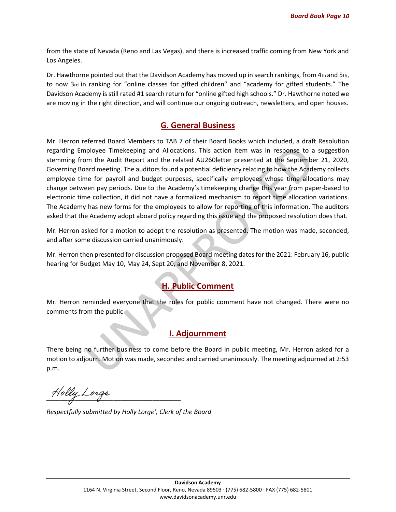from the state of Nevada (Reno and Las Vegas), and there is increased traffic coming from New York and Los Angeles.

Dr. Hawthorne pointed out that the Davidson Academy has moved up in search rankings, from 4th and 5th, to now 3rd in ranking for "online classes for gifted children" and "academy for gifted students." The Davidson Academy is still rated #1 search return for "online gifted high schools." Dr. Hawthorne noted we are moving in the right direction, and will continue our ongoing outreach, newsletters, and open houses.

## **G. General Business**

Mr. Herron referred Board Members to TAB 7 of their Board Books which included, a draft Resolution regarding Employee Timekeeping and Allocations. This action item was in response to a suggestion stemming from the Audit Report and the related AU260letter presented at the September 21, 2020, Governing Board meeting. The auditors found a potential deficiency relating to how the Academy collects employee time for payroll and budget purposes, specifically employees whose time allocations may change between pay periods. Due to the Academy's timekeeping change this year from paper-based to electronic time collection, it did not have a formalized mechanism to report time allocation variations. The Academy has new forms for the employees to allow for reporting of this information. The auditors asked that the Academy adopt aboard policy regarding this issue and the proposed resolution does that.

Mr. Herron asked for a motion to adopt the resolution as presented. The motion was made, seconded, and after some discussion carried unanimously.

Mr. Herron then presented for discussion proposed Board meeting dates for the 2021: February 16, public hearing for Budget May 10, May 24, Sept 20, and November 8, 2021.

# **H. Public Comment**

Mr. Herron reminded everyone that the rules for public comment have not changed. There were no comments from the public

#### **I. Adjournment**

There being no further business to come before the Board in public meeting, Mr. Herron asked for a motion to adjourn. Motion was made, seconded and carried unanimously. The meeting adjourned at 2:53 p.m.

Holly Lorge

*Respectfully submitted by Holly Lorge', Clerk of the Board*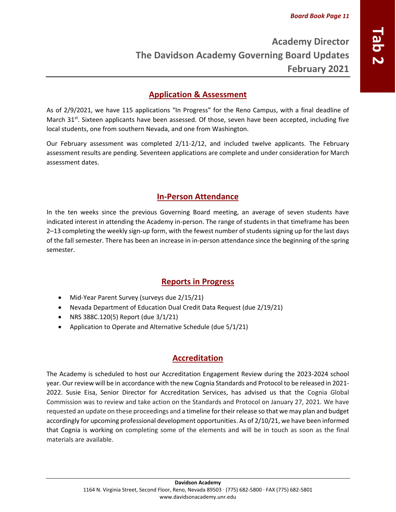## <span id="page-10-0"></span>**Application & Assessment**

As of 2/9/2021, we have 115 applications "In Progress" for the Reno Campus, with a final deadline of March 31<sup>st</sup>. Sixteen applicants have been assessed. Of those, seven have been accepted, including five local students, one from southern Nevada, and one from Washington.

Our February assessment was completed 2/11-2/12, and included twelve applicants. The February assessment results are pending. Seventeen applications are complete and under consideration for March assessment dates.

## **In-Person Attendance**

In the ten weeks since the previous Governing Board meeting, an average of seven students have indicated interest in attending the Academy in-person. The range of students in that timeframe has been 2–13 completing the weekly sign-up form, with the fewest number of students signing up for the last days of the fall semester. There has been an increase in in-person attendance since the beginning of the spring semester.

## **Reports in Progress**

- Mid-Year Parent Survey (surveys due 2/15/21)
- Nevada Department of Education Dual Credit Data Request (due 2/19/21)
- NRS 388C.120(5) Report (due 3/1/21)
- Application to Operate and Alternative Schedule (due 5/1/21)

# **Accreditation**

The Academy is scheduled to host our Accreditation Engagement Review during the 2023-2024 school year. Our review will be in accordance with the new Cognia Standards and Protocol to be released in 2021- 2022. Susie Eisa, Senior Director for Accreditation Services, has advised us that the Cognia Global Commission was to review and take action on the Standards and Protocol on January 27, 2021. We have requested an update on these proceedings and a timeline for their release so that we may plan and budget accordingly for upcoming professional development opportunities. As of 2/10/21, we have been informed that Cognia is working on completing some of the elements and will be in touch as soon as the final materials are available.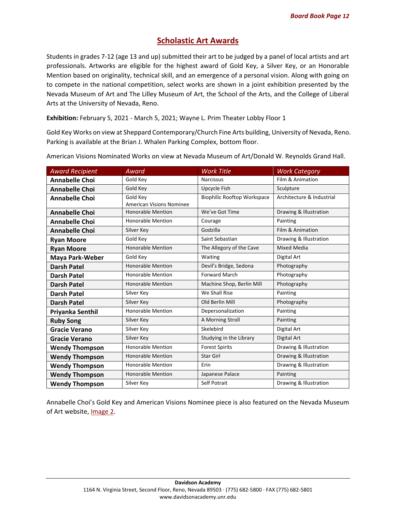## **Scholastic Art Awards**

Students in grades 7-12 (age 13 and up) submitted their art to be judged by a panel of local artists and art professionals. Artworks are eligible for the highest award of Gold Key, a Silver Key, or an Honorable Mention based on originality, technical skill, and an emergence of a personal vision. Along with going on to compete in the national competition, select works are shown in a joint exhibition presented by the Nevada Museum of Art and The Lilley Museum of Art, the School of the Arts, and the College of Liberal Arts at the University of Nevada, Reno.

**Exhibition:** February 5, 2021 - March 5, 2021; Wayne L. Prim Theater Lobby Floor 1

Gold Key Works on view at Sheppard Contemporary/Church Fine Arts building, University of Nevada, Reno. Parking is available at the Brian J. Whalen Parking Complex, bottom floor.

| <b>Award Recipient</b> | Award                           | <b>Work Title</b>                  | <b>Work Category</b>      |
|------------------------|---------------------------------|------------------------------------|---------------------------|
| <b>Annabelle Choi</b>  | Gold Key                        | <b>Narcissus</b>                   | Film & Animation          |
| <b>Annabelle Choi</b>  | Gold Key                        | Upcycle Fish                       | Sculpture                 |
| <b>Annabelle Choi</b>  | Gold Key                        | <b>Biophilic Rooftop Workspace</b> | Architecture & Industrial |
|                        | <b>American Visions Nominee</b> |                                    |                           |
| <b>Annabelle Choi</b>  | <b>Honorable Mention</b>        | We've Got Time                     | Drawing & Illustration    |
| <b>Annabelle Choi</b>  | <b>Honorable Mention</b>        | Courage                            | Painting                  |
| <b>Annabelle Choi</b>  | Silver Key                      | Godzilla                           | Film & Animation          |
| <b>Ryan Moore</b>      | Gold Key                        | Saint Sebastian                    | Drawing & Illustration    |
| <b>Ryan Moore</b>      | <b>Honorable Mention</b>        | The Allegory of the Cave           | Mixed Media               |
| <b>Maya Park-Weber</b> | Gold Key                        | Waiting                            | Digital Art               |
| <b>Darsh Patel</b>     | <b>Honorable Mention</b>        | Devil's Bridge, Sedona             | Photography               |
| <b>Darsh Patel</b>     | <b>Honorable Mention</b>        | <b>Forward March</b>               | Photography               |
| <b>Darsh Patel</b>     | <b>Honorable Mention</b>        | Machine Shop, Berlin Mill          | Photography               |
| <b>Darsh Patel</b>     | Silver Key                      | We Shall Rise                      | Painting                  |
| <b>Darsh Patel</b>     | Silver Key                      | Old Berlin Mill                    | Photography               |
| Priyanka Senthil       | <b>Honorable Mention</b>        | Depersonalization                  | Painting                  |
| <b>Ruby Song</b>       | Silver Key                      | A Morning Stroll                   | Painting                  |
| <b>Gracie Verano</b>   | Silver Key                      | Skelebird                          | Digital Art               |
| <b>Gracie Verano</b>   | Silver Key                      | Studying in the Library            | Digital Art               |
| <b>Wendy Thompson</b>  | <b>Honorable Mention</b>        | <b>Forest Spirits</b>              | Drawing & Illustration    |
| <b>Wendy Thompson</b>  | <b>Honorable Mention</b>        | <b>Star Girl</b>                   | Drawing & Illustration    |
| <b>Wendy Thompson</b>  | <b>Honorable Mention</b>        | Erin                               | Drawing & Illustration    |
| <b>Wendy Thompson</b>  | <b>Honorable Mention</b>        | Japanese Palace                    | Painting                  |
| <b>Wendy Thompson</b>  | Silver Key                      | <b>Self Potrait</b>                | Drawing & Illustration    |

American Visions Nominated Works on view at Nevada Museum of Art/Donald W. Reynolds Grand Hall.

Annabelle Choi's Gold Key and American Visions Nominee piece is also featured on the Nevada Museum of Art website, *[Image 2.](https://www.nevadaart.org/art/exhibitions/scholastic-art-awards-2021/)*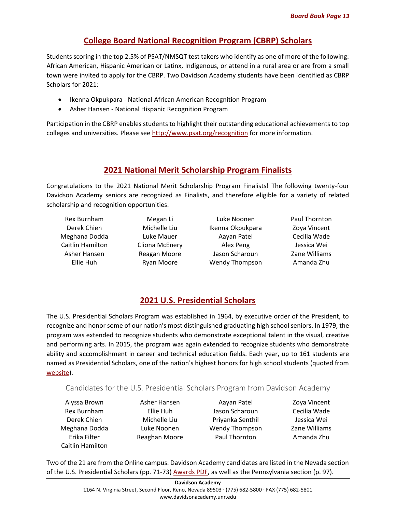## **College Board National Recognition Program (CBRP) Scholars**

Students scoring in the top 2.5% of PSAT/NMSQT test takers who identify as one of more of the following: African American, Hispanic American or Latinx, Indigenous, or attend in a rural area or are from a small town were invited to apply for the CBRP. Two Davidson Academy students have been identified as CBRP Scholars for 2021:

- Ikenna Okpukpara National African American Recognition Program
- Asher Hansen National Hispanic Recognition Program

Participation in the CBRP enables students to highlight their outstanding educational achievements to top colleges and universities. Please see<http://www.psat.org/recognition> for more information.

## **2021 National Merit Scholarship Program Finalists**

Congratulations to the 2021 National Merit Scholarship Program Finalists! The following twenty-four Davidson Academy seniors are recognized as Finalists, and therefore eligible for a variety of related scholarship and recognition opportunities.

| Rex Burnham      |  |  |  |
|------------------|--|--|--|
| Derek Chien      |  |  |  |
| Meghana Dodda    |  |  |  |
| Caitlin Hamilton |  |  |  |
| Asher Hansen     |  |  |  |
| Ellie Huh        |  |  |  |
|                  |  |  |  |

Megan Li Michelle Liu Luke Mauer Cliona McEnery Reagan Moore Ryan Moore

Luke Noonen Ikenna Okpukpara Aayan Patel Alex Peng Jason Scharoun Wendy Thompson Paul Thornton Zoya Vincent Cecilia Wade Jessica Wei Zane Williams Amanda Zhu

# **2021 U.S. Presidential Scholars**

The U.S. Presidential Scholars Program was established in 1964, by executive order of the President, to recognize and honor some of our nation's most distinguished graduating high school seniors. In 1979, the program was extended to recognize students who demonstrate exceptional talent in the visual, creative and performing arts. In 2015, the program was again extended to recognize students who demonstrate ability and accomplishment in career and technical education fields. Each year, up to 161 students are named as Presidential Scholars, one of the nation's highest honors for high school students (quoted from [website\)](https://www2.ed.gov/programs/psp/index.html).

#### Candidates for the U.S. Presidential Scholars Program from Davidson Academy

Alyssa Brown Rex Burnham Derek Chien Meghana Dodda Erika Filter Caitlin Hamilton

Asher Hansen Ellie Huh Michelle Liu Luke Noonen Reaghan Moore

Aayan Patel Jason Scharoun Priyanka Senthil Wendy Thompson Paul Thornton

Zoya Vincent Cecilia Wade Jessica Wei Zane Williams Amanda Zhu

Two of the 21 are from the Online campus. Davidson Academy candidates are listed in the Nevada section of the U.S. Presidential Scholars (pp. 71-73) [Awards PDF,](https://www2.ed.gov/programs/psp/2021/candidates.pdf) as well as the Pennsylvania section (p. 97).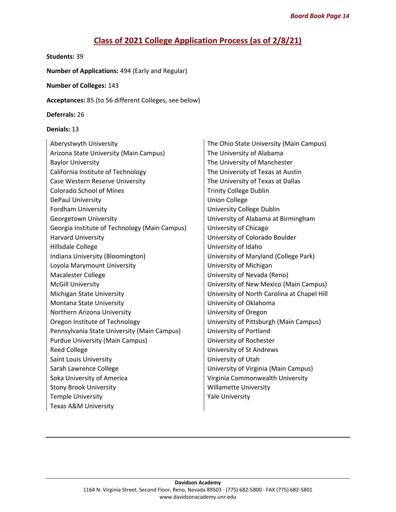# **Class of 2021 College Application Process (as of 2/8/21)**

#### **Students:** 39

**Number of Applications:** 494 (Early and Regular)

#### **Number of Colleges:** 143

**Acceptances:** 85 (to 56 different Colleges, see below)

**Deferrals:** 26

#### **Denials:** 13

| Aberystwyth University                        |  |  |  |  |
|-----------------------------------------------|--|--|--|--|
| Arizona State University (Main Campus)        |  |  |  |  |
| <b>Baylor University</b>                      |  |  |  |  |
| California Institute of Technology            |  |  |  |  |
| Case Western Reserve University               |  |  |  |  |
| Colorado School of Mines                      |  |  |  |  |
| DePaul University                             |  |  |  |  |
| <b>Fordham University</b>                     |  |  |  |  |
| Georgetown University                         |  |  |  |  |
| Georgia Institute of Technology (Main Campus) |  |  |  |  |
| <b>Harvard University</b>                     |  |  |  |  |
| Hillsdale College                             |  |  |  |  |
| Indiana University (Bloomington)              |  |  |  |  |
| Loyola Marymount University                   |  |  |  |  |
| <b>Macalester College</b>                     |  |  |  |  |
| <b>McGill University</b>                      |  |  |  |  |
| Michigan State University                     |  |  |  |  |
| Montana State University                      |  |  |  |  |
| Northern Arizona University                   |  |  |  |  |
| Oregon Institute of Technology                |  |  |  |  |
| Pennsylvania State University (Main Campus)   |  |  |  |  |
| <b>Purdue University (Main Campus)</b>        |  |  |  |  |
| <b>Reed College</b>                           |  |  |  |  |
| Saint Louis University                        |  |  |  |  |
| Sarah Lawrence College                        |  |  |  |  |
| Soka University of America                    |  |  |  |  |
| <b>Stony Brook University</b>                 |  |  |  |  |
| <b>Temple University</b>                      |  |  |  |  |
| Texas A&M University                          |  |  |  |  |

The Ohio State University (Main Campus) The University of Alabama The University of Manchester The University of Texas at Austin The University of Texas at Dallas Trinity College Dublin **Union College** University College Dublin University of Alabama at Birmingham University of Chicago University of Colorado Boulder University of Idaho University of Maryland (College Park) University of Michigan University of Nevada (Reno) University of New Mexico (Main Campus) University of North Carolina at Chapel Hill University of Oklahoma University of Oregon University of Pittsburgh (Main Campus) University of Portland University of Rochester University of St Andrews University of Utah University of Virginia (Main Campus) Virginia Commonwealth University Willamette University Yale University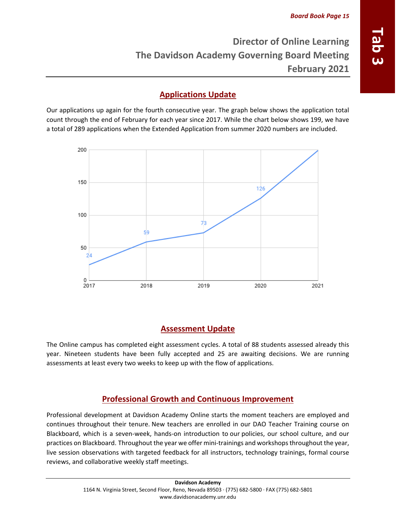# <span id="page-14-0"></span>**Applications Update**

Our applications up again for the fourth consecutive year. The graph below shows the application total count through the end of February for each year since 2017. While the chart below shows 199, we have a total of 289 applications when the Extended Application from summer 2020 numbers are included.



# **Assessment Update**

The Online campus has completed eight assessment cycles. A total of 88 students assessed already this year. Nineteen students have been fully accepted and 25 are awaiting decisions. We are running assessments at least every two weeks to keep up with the flow of applications.

# **Professional Growth and Continuous Improvement**

Professional development at Davidson Academy Online starts the moment teachers are employed and continues throughout their tenure. New teachers are enrolled in our DAO Teacher Training course on Blackboard, which is a seven-week, hands-on introduction to our policies, our school culture, and our practices on Blackboard. Throughout the year we offer mini-trainings and workshopsthroughout the year, live session observations with targeted feedback for all instructors, technology trainings, formal course reviews, and collaborative weekly staff meetings.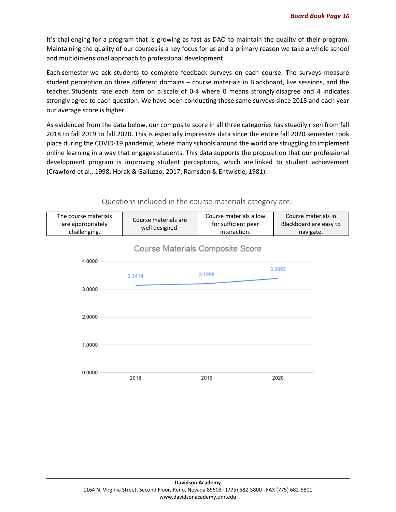It's challenging for a program that is growing as fast as DAO to maintain the quality of their program. Maintaining the quality of our courses is a key focus for us and a primary reason we take a whole school and multidimensional approach to professional development.

Each semester we ask students to complete feedback surveys on each course. The surveys measure student perception on three different domains – course materials in Blackboard, live sessions, and the teacher. Students rate each item on a scale of 0-4 where 0 means strongly disagree and 4 indicates strongly agree to each question. We have been conducting these same surveys since 2018 and each year our average score is higher.

As evidenced from the data below, our composite score in all three categories has steadily risen from fall 2018 to fall 2019 to fall 2020. This is especially impressive data since the entire fall 2020 semester took place during the COVID-19 pandemic, where many schools around the world are struggling to implement online learning in a way that engages students. This data supports the proposition that our professional development program is improving student perceptions, which are linked to student achievement (Crawford et al., 1998; Horak & Galluzzo, 2017; Ramsden & Entwistle, 1981).

Questions included in the course materials category are:

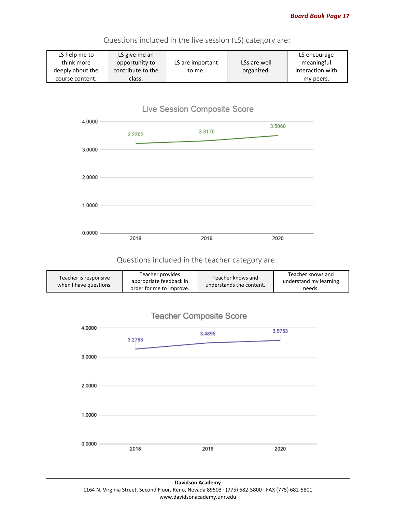

Questions included in the live session (LS) category are:

# Live Session Composite Score



#### Questions included in the teacher category are:

| Teacher is responsive<br>when I have questions. | Teacher provides<br>appropriate feedback in<br>order for me to improve. | Teacher knows and<br>understands the content. | Teacher knows and<br>understand my learning<br>needs. |
|-------------------------------------------------|-------------------------------------------------------------------------|-----------------------------------------------|-------------------------------------------------------|
|-------------------------------------------------|-------------------------------------------------------------------------|-----------------------------------------------|-------------------------------------------------------|



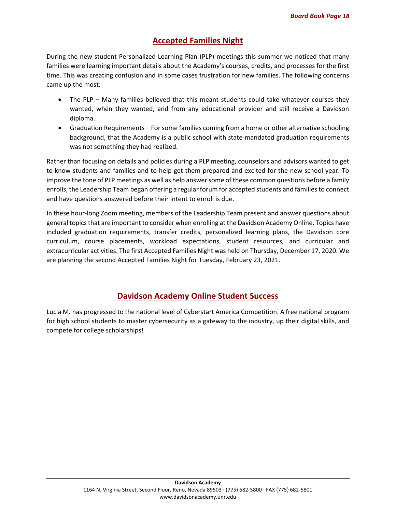## **Accepted Families Night**

During the new student Personalized Learning Plan (PLP) meetings this summer we noticed that many families were learning important details about the Academy's courses, credits, and processes for the first time. This was creating confusion and in some cases frustration for new families. The following concerns came up the most:

- The PLP Many families believed that this meant students could take whatever courses they wanted, when they wanted, and from any educational provider and still receive a Davidson diploma.
- Graduation Requirements For some families coming from a home or other alternative schooling background, that the Academy is a public school with state-mandated graduation requirements was not something they had realized.

Rather than focusing on details and policies during a PLP meeting, counselors and advisors wanted to get to know students and families and to help get them prepared and excited for the new school year. To improve the tone of PLP meetings as well as help answersome of these common questions before a family enrolls, the Leadership Team began offering a regular forum for accepted students and families to connect and have questions answered before their intent to enroll is due.

In these hour-long Zoom meeting, members of the Leadership Team present and answer questions about general topics that are important to consider when enrolling at the Davidson Academy Online. Topics have included graduation requirements, transfer credits, personalized learning plans, the Davidson core curriculum, course placements, workload expectations, student resources, and curricular and extracurricular activities. The first Accepted Families Night was held on Thursday, December 17, 2020. We are planning the second Accepted Families Night for Tuesday, February 23, 2021.

## **Davidson Academy Online Student Success**

Lucia M. has progressed to the national level of Cyberstart America Competition. A free national program for high school students to master cybersecurity as a gateway to the industry, up their digital skills, and compete for college scholarships!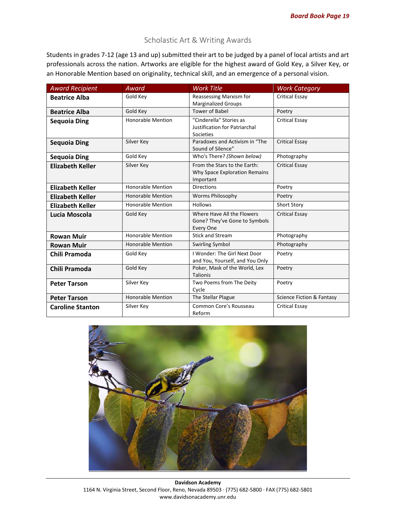## Scholastic Art & Writing Awards

Students in grades 7-12 (age 13 and up) submitted their art to be judged by a panel of local artists and art professionals across the nation. Artworks are eligible for the highest award of Gold Key, a Silver Key, or an Honorable Mention based on originality, technical skill, and an emergence of a personal vision.

| <b>Award Recipient</b>  | Award                    | <b>Work Title</b>                                                          | <b>Work Category</b>      |
|-------------------------|--------------------------|----------------------------------------------------------------------------|---------------------------|
| <b>Beatrice Alba</b>    | Gold Key                 | Reassessing Marxism for<br><b>Marginalized Groups</b>                      | <b>Critical Essay</b>     |
| <b>Beatrice Alba</b>    | Gold Key                 | <b>Tower of Babel</b>                                                      | Poetry                    |
| Sequoia Ding            | <b>Honorable Mention</b> | "Cinderella" Stories as<br>Justification for Patriarchal<br>Societies      | <b>Critical Essay</b>     |
| <b>Sequoia Ding</b>     | Silver Key               | Paradoxes and Activism in "The<br>Sound of Silence"                        | <b>Critical Essay</b>     |
| <b>Sequoia Ding</b>     | Gold Key                 | Who's There? (Shown below)                                                 | Photography               |
| <b>Elizabeth Keller</b> | Silver Key               | From the Stars to the Earth:<br>Why Space Exploration Remains<br>Important | <b>Critical Essay</b>     |
| <b>Elizabeth Keller</b> | <b>Honorable Mention</b> | <b>Directions</b>                                                          | Poetry                    |
| <b>Elizabeth Keller</b> | <b>Honorable Mention</b> | <b>Worms Philosophy</b>                                                    | Poetry                    |
| <b>Elizabeth Keller</b> | <b>Honorable Mention</b> | <b>Hollows</b>                                                             | Short Story               |
| Lucia Moscola           | Gold Key                 | Where Have All the Flowers<br>Gone? They've Gone to Symbols<br>Every One   | <b>Critical Essay</b>     |
| <b>Rowan Muir</b>       | <b>Honorable Mention</b> | <b>Stick and Stream</b>                                                    | Photography               |
| <b>Rowan Muir</b>       | <b>Honorable Mention</b> | <b>Swirling Symbol</b>                                                     | Photography               |
| Chili Pramoda           | Gold Kev                 | I Wonder: The Girl Next Door<br>and You, Yourself, and You Only            | Poetry                    |
| Chili Pramoda           | Gold Key                 | Poker, Mask of the World, Lex<br><b>Talionis</b>                           | Poetry                    |
| <b>Peter Tarson</b>     | Silver Key               | Two Poems from The Deity<br>Cycle                                          | Poetry                    |
| <b>Peter Tarson</b>     | <b>Honorable Mention</b> | The Stellar Plague                                                         | Science Fiction & Fantasy |
| <b>Caroline Stanton</b> | Silver Key               | Common Core's Rousseau<br>Reform                                           | <b>Critical Essay</b>     |

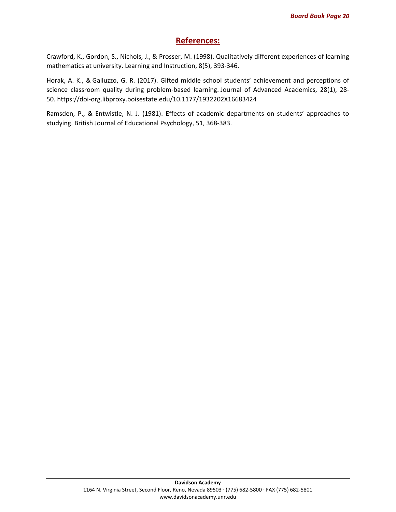## **References:**

Crawford, K., Gordon, S., Nichols, J., & Prosser, M. (1998). Qualitatively different experiences of learning mathematics at university. Learning and Instruction, 8(5), 393-346.

Horak, A. K., & Galluzzo, G. R. (2017). Gifted middle school students' achievement and perceptions of science classroom quality during problem-based learning. Journal of Advanced Academics, 28(1), 28- 50. <https://doi-org.libproxy.boisestate.edu/10.1177/1932202X16683424>

Ramsden, P., & Entwistle, N. J. (1981). Effects of academic departments on students' approaches to studying. British Journal of Educational Psychology, 51, 368-383.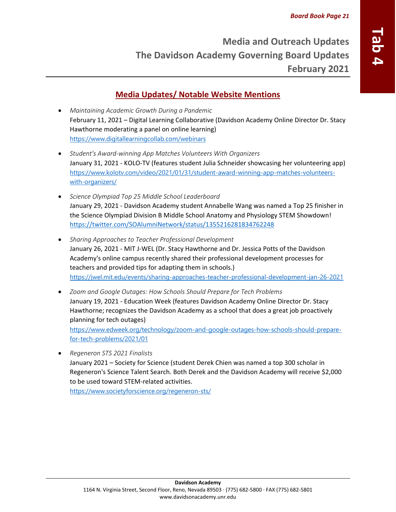# <span id="page-20-0"></span>**Media Updates/ Notable Website Mentions**

- *Maintaining Academic Growth During a Pandemic* February 11, 2021 – Digital Learning Collaborative (Davidson Academy Online Director Dr. Stacy Hawthorne moderating a panel on online learning) <https://www.digitallearningcollab.com/webinars>
- *Student's Award-winning App Matches Volunteers With Organizers* January 31, 2021 - KOLO-TV (features student Julia Schneider showcasing her volunteering app) [https://www.kolotv.com/video/2021/01/31/student-award-winning-app-matches-volunteers](https://www.kolotv.com/video/2021/01/31/student-award-winning-app-matches-volunteers-with-organizers/)[with-organizers/](https://www.kolotv.com/video/2021/01/31/student-award-winning-app-matches-volunteers-with-organizers/)
- *Science Olympiad Top 25 Middle School Leaderboard* January 29, 2021 - Davidson Academy student Annabelle Wang was named a Top 25 finisher in the Science Olympiad Division B Middle School Anatomy and Physiology STEM Showdown! <https://twitter.com/SOAlumniNetwork/status/1355216281834762248>
- *Sharing Approaches to Teacher Professional Development* January 26, 2021 - MIT J-WEL (Dr. Stacy Hawthorne and Dr. Jessica Potts of the Davidson Academy's online campus recently shared their professional development processes for teachers and provided tips for adapting them in schools.) <https://jwel.mit.edu/events/sharing-approaches-teacher-professional-development-jan-26-2021>
- *Zoom and Google Outages: How Schools Should Prepare for Tech Problems* January 19, 2021 - Education Week (features Davidson Academy Online Director Dr. Stacy Hawthorne; recognizes the Davidson Academy as a school that does a great job proactively planning for tech outages) [https://www.edweek.org/technology/zoom-and-google-outages-how-schools-should-prepare](https://www.edweek.org/technology/zoom-and-google-outages-how-schools-should-prepare-for-tech-problems/2021/01)[for-tech-problems/2021/01](https://www.edweek.org/technology/zoom-and-google-outages-how-schools-should-prepare-for-tech-problems/2021/01)
- *Regeneron STS 2021 Finalists* January 2021 – Society for Science (student Derek Chien was named a top 300 scholar in Regeneron's Science Talent Search. Both Derek and the Davidson Academy will receive \$2,000 to be used toward STEM-related activities. <https://www.societyforscience.org/regeneron-sts/>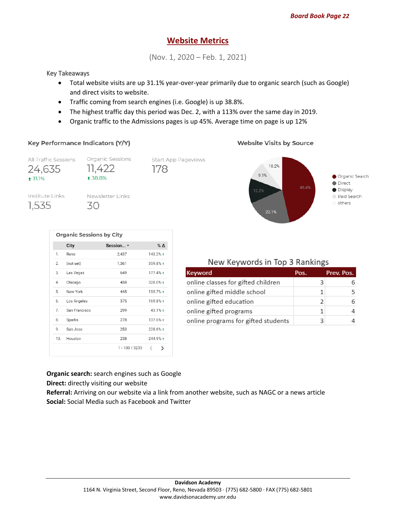## **Website Metrics**

(Nov. 1, 2020 – Feb. 1, 2021)

#### Key Takeaways

- Total website visits are up 31.1% year-over-year primarily due to organic search (such as Google) and direct visits to website.
- Traffic coming from search engines (i.e. Google) is up 38.8%.
- The highest traffic day this period was Dec. 2, with a 113% over the same day in 2019.
- Organic traffic to the Admissions pages is up 45%. Average time on page is up 12%

#### Key Performance Indicators (Y/Y)

**Website Visits by Source** 



|     | City          | Session v      | $%$ $\Delta$ |
|-----|---------------|----------------|--------------|
| 1.  | Reno          | 2,437          | 143.2% +     |
| 2.  | (not set)     | 1,361          | 359.8% +     |
| 3.  | Las Vegas     | 649            | 177.4%       |
| 4.  | Chicago       | 458            | 328.0%       |
| 5.  | New York      | 445            | 155.7%       |
| 6.  | Los Angeles   | 375            | 169.8% +     |
| 7.  | San Francisco | 299            | 43.1% +      |
| 8.  | Sparks        | 278            | 137.6% +     |
| 9.  | San Jose      | 253            | 228.6% +     |
| 10. | Houston       | 238            | 244.9%       |
|     |               | 1 - 100 / 3233 | ✓<br>⋋       |

## New Keywords in Top 3 Rankings

| Keyword                             | Pos. | Prev. Pos. |
|-------------------------------------|------|------------|
| online classes for gifted children  |      |            |
| online gifted middle school         |      |            |
| online gifted education             | ͻ    |            |
| online gifted programs              |      |            |
| online programs for gifted students |      |            |

**Organic search:** search engines such as Google **Direct:** directly visiting our website

**Referral:** Arriving on our website via a link from another website, such as NAGC or a news article **Social:** Social Media such as Facebook and Twitter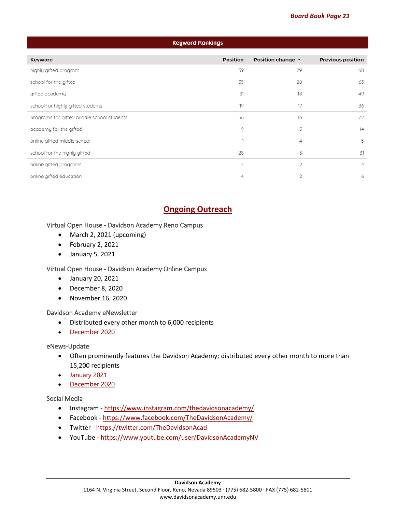| Keyword Rankings                           |          |                   |                          |  |
|--------------------------------------------|----------|-------------------|--------------------------|--|
| Keyword                                    | Position | Position change v | <b>Previous position</b> |  |
| highly gifted program                      | 39       | 29                | 68                       |  |
| school for the gifted                      | 35       | 28                | 63                       |  |
| gifted academy                             | 31       | 18                | 49                       |  |
| school for highly gifted students          | 19       | 17                | 36                       |  |
| programs for gifted middle school students | 56       | 16                | 72                       |  |
| academy for the gifted                     | 9        | 5                 | 14                       |  |
| online gifted middle school                | ×,       | 4                 | 5                        |  |
| school for the highly gifted               | 28       | 3                 | 31                       |  |
| online gifted programs                     | 2        | 2                 | 4                        |  |
| online gifted education                    | 4        | 2                 | 6                        |  |

# **Ongoing Outreach**

#### Virtual Open House - Davidson Academy Reno Campus

- March 2, 2021 (upcoming)
- February 2, 2021
- January 5, 2021

#### Virtual Open House - Davidson Academy Online Campus

- January 20, 2021
- December 8, 2020
- November 16, 2020

#### Davidson Academy eNewsletter

- Distributed every other month to 6,000 recipients
- [December](https://mailchi.mp/873b217e6e56/december-2020-davidson-academy-enewsletter?e=dea29bce89) 2020

#### eNews-Update

- Often prominently features the Davidson Academy; distributed every other month to more than 15,200 recipients
- [January](https://mailchi.mp/a582eb4b6db3/davidson-institute-enews-update-january-2021?e=dea29bce89) 2021
- [December](https://mailchi.mp/5136c775312d/davidson-institute-enews-update-december-2020?e=dea29bce89) 2020

#### Social Media

- Instagram <https://www.instagram.com/thedavidsonacademy/>
- Facebook <https://www.facebook.com/TheDavidsonAcademy/>
- Twitter <https://twitter.com/TheDavidsonAcad>
- YouTube <https://www.youtube.com/user/DavidsonAcademyNV>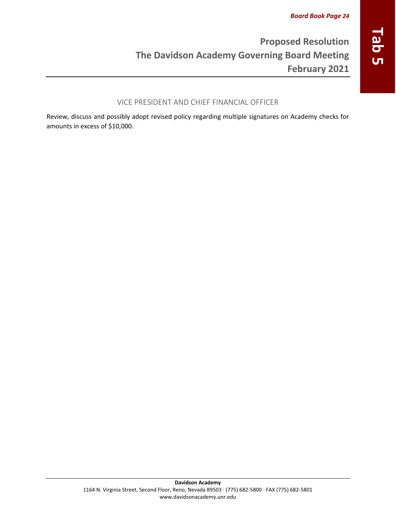## <span id="page-23-0"></span>VICE PRESIDENT AND CHIEF FINANCIAL OFFICER

Review, discuss and possibly adopt revised policy regarding multiple signatures on Academy checks for amounts in excess of \$10,000.